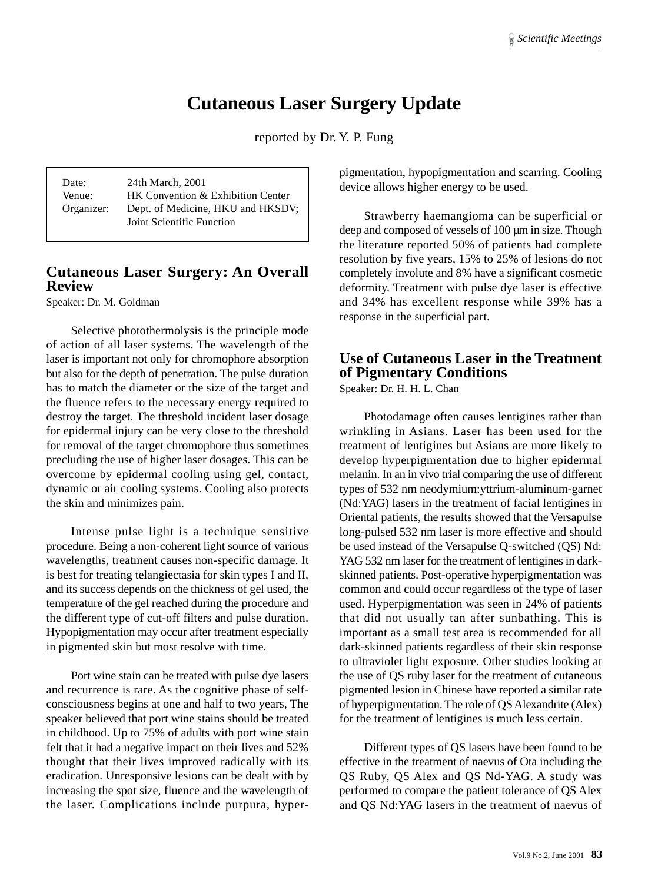## **Cutaneous Laser Surgery Update**

reported by Dr. Y. P. Fung

| Date:      | 24th March, 2001                  |
|------------|-----------------------------------|
| Venue:     | HK Convention & Exhibition Center |
| Organizer: | Dept. of Medicine, HKU and HKSDV; |
|            | Joint Scientific Function         |

## **Cutaneous Laser Surgery: An Overall Review**

Speaker: Dr. M. Goldman

Selective photothermolysis is the principle mode of action of all laser systems. The wavelength of the laser is important not only for chromophore absorption but also for the depth of penetration. The pulse duration has to match the diameter or the size of the target and the fluence refers to the necessary energy required to destroy the target. The threshold incident laser dosage for epidermal injury can be very close to the threshold for removal of the target chromophore thus sometimes precluding the use of higher laser dosages. This can be overcome by epidermal cooling using gel, contact, dynamic or air cooling systems. Cooling also protects the skin and minimizes pain.

Intense pulse light is a technique sensitive procedure. Being a non-coherent light source of various wavelengths, treatment causes non-specific damage. It is best for treating telangiectasia for skin types I and II, and its success depends on the thickness of gel used, the temperature of the gel reached during the procedure and the different type of cut-off filters and pulse duration. Hypopigmentation may occur after treatment especially in pigmented skin but most resolve with time.

Port wine stain can be treated with pulse dye lasers and recurrence is rare. As the cognitive phase of selfconsciousness begins at one and half to two years, The speaker believed that port wine stains should be treated in childhood. Up to 75% of adults with port wine stain felt that it had a negative impact on their lives and 52% thought that their lives improved radically with its eradication. Unresponsive lesions can be dealt with by increasing the spot size, fluence and the wavelength of the laser. Complications include purpura, hyperpigmentation, hypopigmentation and scarring. Cooling device allows higher energy to be used.

Strawberry haemangioma can be superficial or deep and composed of vessels of 100  $\mu$ m in size. Though the literature reported 50% of patients had complete resolution by five years, 15% to 25% of lesions do not completely involute and 8% have a significant cosmetic deformity. Treatment with pulse dye laser is effective and 34% has excellent response while 39% has a response in the superficial part.

## **Use of Cutaneous Laser in the Treatment of Pigmentary Conditions**

Speaker: Dr. H. H. L. Chan

Photodamage often causes lentigines rather than wrinkling in Asians. Laser has been used for the treatment of lentigines but Asians are more likely to develop hyperpigmentation due to higher epidermal melanin. In an in vivo trial comparing the use of different types of 532 nm neodymium:yttrium-aluminum-garnet (Nd:YAG) lasers in the treatment of facial lentigines in Oriental patients, the results showed that the Versapulse long-pulsed 532 nm laser is more effective and should be used instead of the Versapulse Q-switched (QS) Nd: YAG 532 nm laser for the treatment of lentigines in darkskinned patients. Post-operative hyperpigmentation was common and could occur regardless of the type of laser used. Hyperpigmentation was seen in 24% of patients that did not usually tan after sunbathing. This is important as a small test area is recommended for all dark-skinned patients regardless of their skin response to ultraviolet light exposure. Other studies looking at the use of QS ruby laser for the treatment of cutaneous pigmented lesion in Chinese have reported a similar rate of hyperpigmentation. The role of QS Alexandrite (Alex) for the treatment of lentigines is much less certain.

Different types of QS lasers have been found to be effective in the treatment of naevus of Ota including the QS Ruby, QS Alex and QS Nd-YAG. A study was performed to compare the patient tolerance of QS Alex and QS Nd:YAG lasers in the treatment of naevus of